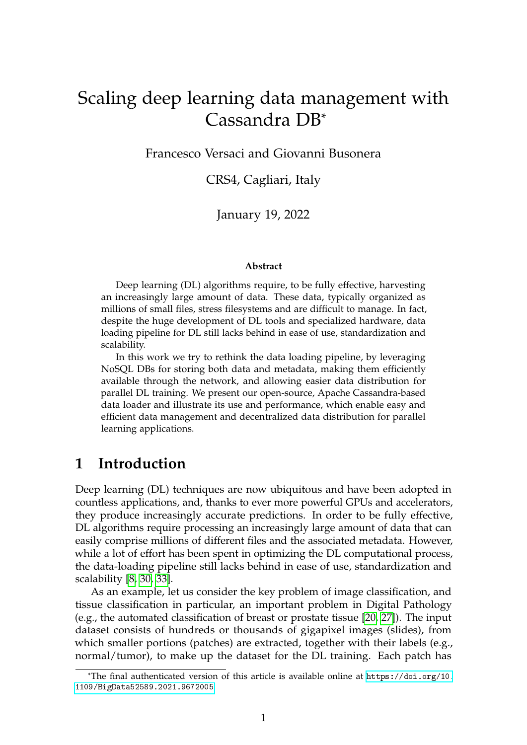# Scaling deep learning data management with Cassandra DB\*

Francesco Versaci and Giovanni Busonera

CRS4, Cagliari, Italy

January 19, 2022

#### **Abstract**

Deep learning (DL) algorithms require, to be fully effective, harvesting an increasingly large amount of data. These data, typically organized as millions of small files, stress filesystems and are difficult to manage. In fact, despite the huge development of DL tools and specialized hardware, data loading pipeline for DL still lacks behind in ease of use, standardization and scalability.

In this work we try to rethink the data loading pipeline, by leveraging NoSQL DBs for storing both data and metadata, making them efficiently available through the network, and allowing easier data distribution for parallel DL training. We present our open-source, Apache Cassandra-based data loader and illustrate its use and performance, which enable easy and efficient data management and decentralized data distribution for parallel learning applications.

### **1 Introduction**

Deep learning (DL) techniques are now ubiquitous and have been adopted in countless applications, and, thanks to ever more powerful GPUs and accelerators, they produce increasingly accurate predictions. In order to be fully effective, DL algorithms require processing an increasingly large amount of data that can easily comprise millions of different files and the associated metadata. However, while a lot of effort has been spent in optimizing the DL computational process, the data-loading pipeline still lacks behind in ease of use, standardization and scalability [\[8,](#page-17-0) [30,](#page-18-0) [33\]](#page-18-1).

As an example, let us consider the key problem of image classification, and tissue classification in particular, an important problem in Digital Pathology (e.g., the automated classification of breast or prostate tissue [\[20,](#page-17-1) [27\]](#page-18-2)). The input dataset consists of hundreds or thousands of gigapixel images (slides), from which smaller portions (patches) are extracted, together with their labels (e.g., normal/tumor), to make up the dataset for the DL training. Each patch has

<sup>\*</sup>The final authenticated version of this article is available online at [https://doi.org/10.](https://doi.org/10.1109/BigData52589.2021.9672005) [1109/BigData52589.2021.9672005](https://doi.org/10.1109/BigData52589.2021.9672005)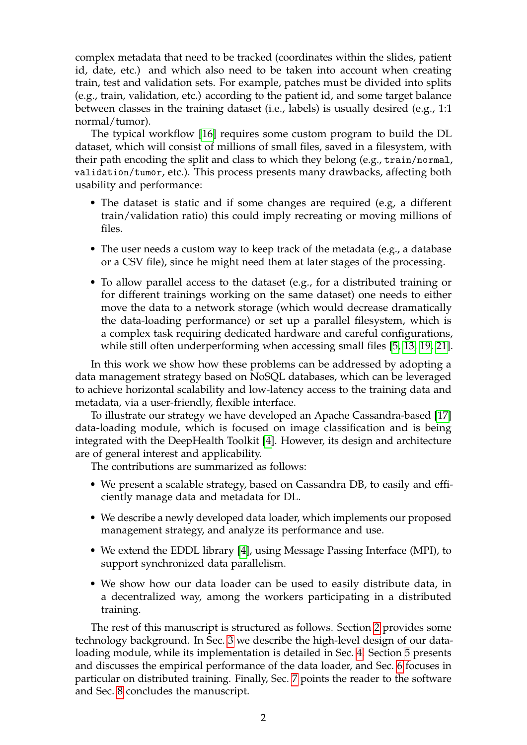complex metadata that need to be tracked (coordinates within the slides, patient id, date, etc.) and which also need to be taken into account when creating train, test and validation sets. For example, patches must be divided into splits (e.g., train, validation, etc.) according to the patient id, and some target balance between classes in the training dataset (i.e., labels) is usually desired (e.g., 1:1 normal/tumor).

The typical workflow [\[16\]](#page-17-2) requires some custom program to build the DL dataset, which will consist of millions of small files, saved in a filesystem, with their path encoding the split and class to which they belong (e.g., train/normal, validation/tumor, etc.). This process presents many drawbacks, affecting both usability and performance:

- The dataset is static and if some changes are required (e.g, a different train/validation ratio) this could imply recreating or moving millions of files.
- The user needs a custom way to keep track of the metadata (e.g., a database or a CSV file), since he might need them at later stages of the processing.
- To allow parallel access to the dataset (e.g., for a distributed training or for different trainings working on the same dataset) one needs to either move the data to a network storage (which would decrease dramatically the data-loading performance) or set up a parallel filesystem, which is a complex task requiring dedicated hardware and careful configurations, while still often underperforming when accessing small files [\[5,](#page-16-0) [13,](#page-17-3) [19,](#page-17-4) [21\]](#page-17-5).

In this work we show how these problems can be addressed by adopting a data management strategy based on NoSQL databases, which can be leveraged to achieve horizontal scalability and low-latency access to the training data and metadata, via a user-friendly, flexible interface.

To illustrate our strategy we have developed an Apache Cassandra-based [\[17\]](#page-17-6) data-loading module, which is focused on image classification and is being integrated with the DeepHealth Toolkit [\[4\]](#page-16-1). However, its design and architecture are of general interest and applicability.

The contributions are summarized as follows:

- We present a scalable strategy, based on Cassandra DB, to easily and efficiently manage data and metadata for DL.
- We describe a newly developed data loader, which implements our proposed management strategy, and analyze its performance and use.
- We extend the EDDL library [\[4\]](#page-16-1), using Message Passing Interface (MPI), to support synchronized data parallelism.
- We show how our data loader can be used to easily distribute data, in a decentralized way, among the workers participating in a distributed training.

The rest of this manuscript is structured as follows. Section [2](#page-2-0) provides some technology background. In Sec. [3](#page-3-0) we describe the high-level design of our dataloading module, while its implementation is detailed in Sec. [4.](#page-5-0) Section [5](#page-7-0) presents and discusses the empirical performance of the data loader, and Sec. [6](#page-12-0) focuses in particular on distributed training. Finally, Sec. [7](#page-15-0) points the reader to the software and Sec. [8](#page-15-1) concludes the manuscript.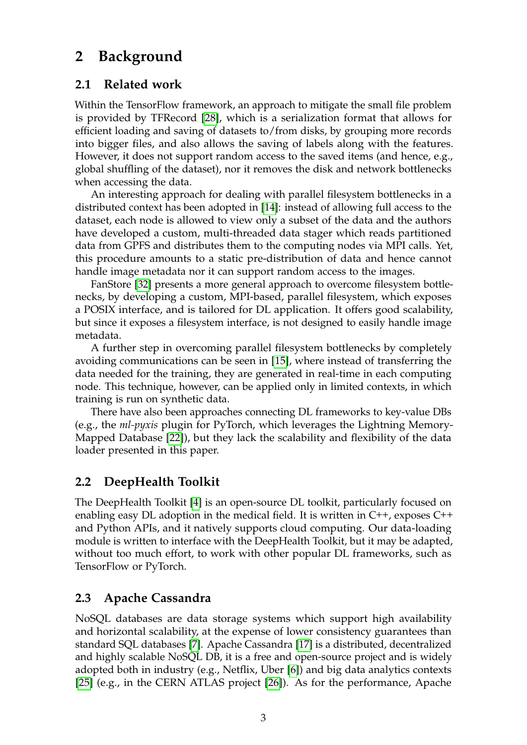### <span id="page-2-0"></span>**2 Background**

#### **2.1 Related work**

Within the TensorFlow framework, an approach to mitigate the small file problem is provided by TFRecord [\[28\]](#page-18-3), which is a serialization format that allows for efficient loading and saving of datasets to/from disks, by grouping more records into bigger files, and also allows the saving of labels along with the features. However, it does not support random access to the saved items (and hence, e.g., global shuffling of the dataset), nor it removes the disk and network bottlenecks when accessing the data.

An interesting approach for dealing with parallel filesystem bottlenecks in a distributed context has been adopted in [\[14\]](#page-17-7): instead of allowing full access to the dataset, each node is allowed to view only a subset of the data and the authors have developed a custom, multi-threaded data stager which reads partitioned data from GPFS and distributes them to the computing nodes via MPI calls. Yet, this procedure amounts to a static pre-distribution of data and hence cannot handle image metadata nor it can support random access to the images.

FanStore [\[32\]](#page-18-4) presents a more general approach to overcome filesystem bottlenecks, by developing a custom, MPI-based, parallel filesystem, which exposes a POSIX interface, and is tailored for DL application. It offers good scalability, but since it exposes a filesystem interface, is not designed to easily handle image metadata.

A further step in overcoming parallel filesystem bottlenecks by completely avoiding communications can be seen in [\[15\]](#page-17-8), where instead of transferring the data needed for the training, they are generated in real-time in each computing node. This technique, however, can be applied only in limited contexts, in which training is run on synthetic data.

There have also been approaches connecting DL frameworks to key-value DBs (e.g., the *ml-pyxis* plugin for PyTorch, which leverages the Lightning Memory-Mapped Database [\[22\]](#page-18-5)), but they lack the scalability and flexibility of the data loader presented in this paper.

#### **2.2 DeepHealth Toolkit**

The DeepHealth Toolkit [\[4\]](#page-16-1) is an open-source DL toolkit, particularly focused on enabling easy DL adoption in the medical field. It is written in  $C^{++}$ , exposes  $C^{++}$ and Python APIs, and it natively supports cloud computing. Our data-loading module is written to interface with the DeepHealth Toolkit, but it may be adapted, without too much effort, to work with other popular DL frameworks, such as TensorFlow or PyTorch.

#### **2.3 Apache Cassandra**

NoSQL databases are data storage systems which support high availability and horizontal scalability, at the expense of lower consistency guarantees than standard SQL databases [\[7\]](#page-17-9). Apache Cassandra [\[17\]](#page-17-6) is a distributed, decentralized and highly scalable NoSQL DB, it is a free and open-source project and is widely adopted both in industry (e.g., Netflix, Uber [\[6\]](#page-17-10)) and big data analytics contexts [\[25\]](#page-18-6) (e.g., in the CERN ATLAS project [\[26\]](#page-18-7)). As for the performance, Apache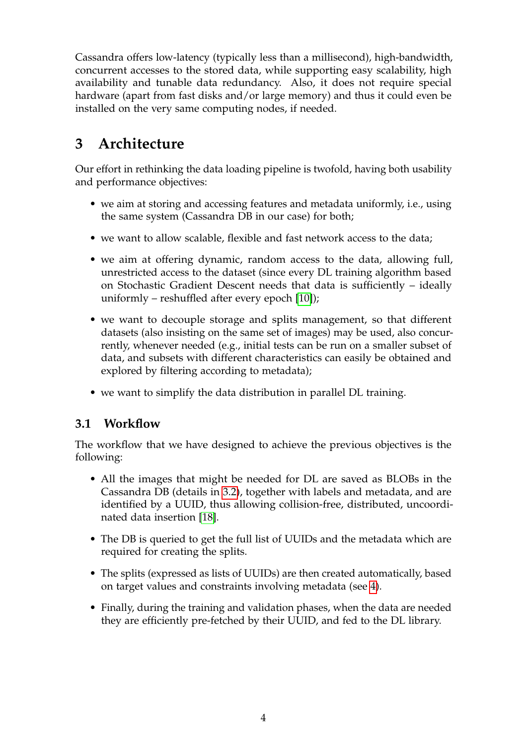Cassandra offers low-latency (typically less than a millisecond), high-bandwidth, concurrent accesses to the stored data, while supporting easy scalability, high availability and tunable data redundancy. Also, it does not require special hardware (apart from fast disks and/or large memory) and thus it could even be installed on the very same computing nodes, if needed.

# <span id="page-3-0"></span>**3 Architecture**

Our effort in rethinking the data loading pipeline is twofold, having both usability and performance objectives:

- we aim at storing and accessing features and metadata uniformly, i.e., using the same system (Cassandra DB in our case) for both;
- we want to allow scalable, flexible and fast network access to the data;
- we aim at offering dynamic, random access to the data, allowing full, unrestricted access to the dataset (since every DL training algorithm based on Stochastic Gradient Descent needs that data is sufficiently – ideally uniformly – reshuffled after every epoch [\[10\]](#page-17-11));
- we want to decouple storage and splits management, so that different datasets (also insisting on the same set of images) may be used, also concurrently, whenever needed (e.g., initial tests can be run on a smaller subset of data, and subsets with different characteristics can easily be obtained and explored by filtering according to metadata);
- we want to simplify the data distribution in parallel DL training.

#### **3.1 Workflow**

The workflow that we have designed to achieve the previous objectives is the following:

- All the images that might be needed for DL are saved as BLOBs in the Cassandra DB (details in [3.2\)](#page-4-0), together with labels and metadata, and are identified by a UUID, thus allowing collision-free, distributed, uncoordinated data insertion [\[18\]](#page-17-12).
- The DB is queried to get the full list of UUIDs and the metadata which are required for creating the splits.
- The splits (expressed as lists of UUIDs) are then created automatically, based on target values and constraints involving metadata (see [4\)](#page-5-0).
- Finally, during the training and validation phases, when the data are needed they are efficiently pre-fetched by their UUID, and fed to the DL library.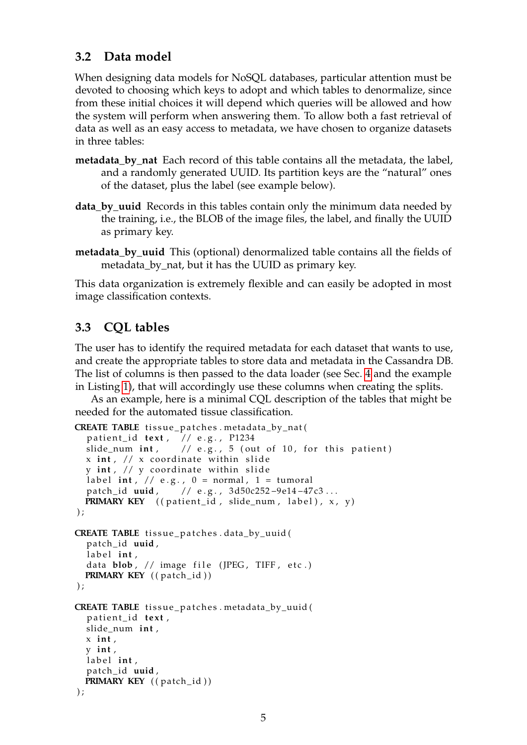#### <span id="page-4-0"></span>**3.2 Data model**

When designing data models for NoSQL databases, particular attention must be devoted to choosing which keys to adopt and which tables to denormalize, since from these initial choices it will depend which queries will be allowed and how the system will perform when answering them. To allow both a fast retrieval of data as well as an easy access to metadata, we have chosen to organize datasets in three tables:

- **metadata** by nat Each record of this table contains all the metadata, the label, and a randomly generated UUID. Its partition keys are the "natural" ones of the dataset, plus the label (see example below).
- **data\_by\_uuid** Records in this tables contain only the minimum data needed by the training, i.e., the BLOB of the image files, the label, and finally the UUID as primary key.
- **metadata\_by\_uuid** This (optional) denormalized table contains all the fields of metadata\_by\_nat, but it has the UUID as primary key.

This data organization is extremely flexible and can easily be adopted in most image classification contexts.

### **3.3 CQL tables**

The user has to identify the required metadata for each dataset that wants to use, and create the appropriate tables to store data and metadata in the Cassandra DB. The list of columns is then passed to the data loader (see Sec. [4](#page-5-0) and the example in Listing [1\)](#page-6-0), that will accordingly use these columns when creating the splits.

As an example, here is a minimal CQL description of the tables that might be needed for the automated tissue classification.

```
CREATE TABLE tissue_patches.metadata_by_nat (
  patient_id text, // e.g., P1234
  slide_num int, // e.g., 5 (out of 10, for this patient)
  x int, // x coordinate within slide
  y int, // y coordinate within slide
  label int, // e.g., 0 = normal, 1 = tumoralpatch id uuid, // e.g., 3d50c252 -9e14 -47c3 ...
  \overline{PRIMARY KEY} ((patient_id, slide_num, label), x, y)
) ;
CREATE TABLE tissue_patches.data_by_uuid (
  patch_id uuid ,
  label int,
  data blob, // image file (JPEG, TIFF, etc.)
  PRIMARY KEY ( ( patch_id ) )
) ;
CREATE TABLE tissue_patches.metadata_by_uuid (
  patient_id text,
  slide_num int ,
  x int ,
  y int ,
  label int,
  patch_id uuid ,
  PRIMARY KEY ( ( patch_id ) )
) ;
```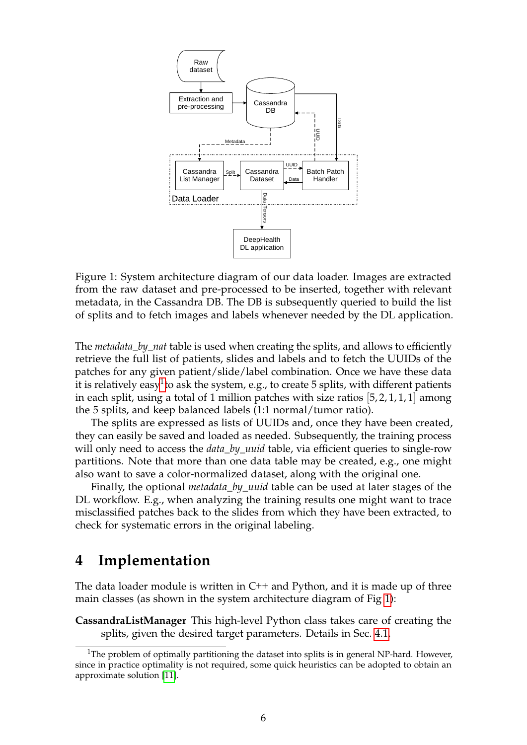

<span id="page-5-2"></span>Figure 1: System architecture diagram of our data loader. Images are extracted from the raw dataset and pre-processed to be inserted, together with relevant metadata, in the Cassandra DB. The DB is subsequently queried to build the list of splits and to fetch images and labels whenever needed by the DL application.

The *metadata\_by\_nat* table is used when creating the splits, and allows to efficiently retrieve the full list of patients, slides and labels and to fetch the UUIDs of the patches for any given patient/slide/label combination. Once we have these data it is relatively easy $^1$  $^1$ to ask the system, e.g., to create 5 splits, with different patients in each split, using a total of 1 million patches with size ratios  $[5, 2, 1, 1, 1]$  among the 5 splits, and keep balanced labels (1:1 normal/tumor ratio).

The splits are expressed as lists of UUIDs and, once they have been created, they can easily be saved and loaded as needed. Subsequently, the training process will only need to access the *data\_by\_uuid* table, via efficient queries to single-row partitions. Note that more than one data table may be created, e.g., one might also want to save a color-normalized dataset, along with the original one.

Finally, the optional *metadata\_by\_uuid* table can be used at later stages of the DL workflow. E.g., when analyzing the training results one might want to trace misclassified patches back to the slides from which they have been extracted, to check for systematic errors in the original labeling.

### <span id="page-5-0"></span>**4 Implementation**

The data loader module is written in  $C_{+}$  and Python, and it is made up of three main classes (as shown in the system architecture diagram of Fig [1\)](#page-5-2):

**CassandraListManager** This high-level Python class takes care of creating the splits, given the desired target parameters. Details in Sec. [4.1.](#page-6-1)

<span id="page-5-1"></span><sup>&</sup>lt;sup>1</sup>The problem of optimally partitioning the dataset into splits is in general NP-hard. However, since in practice optimality is not required, some quick heuristics can be adopted to obtain an approximate solution [\[11\]](#page-17-13).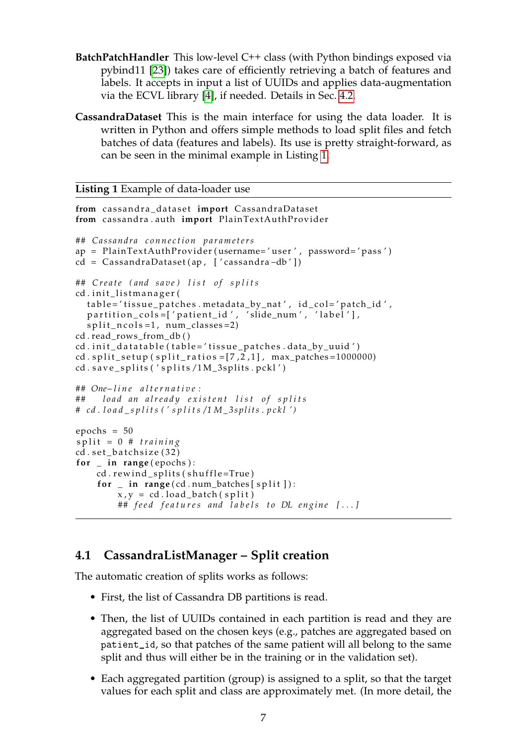- **BatchPatchHandler** This low-level C++ class (with Python bindings exposed via pybind11 [\[23\]](#page-18-8)) takes care of efficiently retrieving a batch of features and labels. It accepts in input a list of UUIDs and applies data-augmentation via the ECVL library [\[4\]](#page-16-1), if needed. Details in Sec. [4.2.](#page-7-1)
- **CassandraDataset** This is the main interface for using the data loader. It is written in Python and offers simple methods to load split files and fetch batches of data (features and labels). Its use is pretty straight-forward, as can be seen in the minimal example in Listing [1.](#page-6-0)

<span id="page-6-0"></span>**Listing 1** Example of data-loader use

```
from cassandra_dataset import CassandraDataset
from cassandra . auth import PlainTextAuthProvider
## Cassandra c o n n e c t i o n p a r a m e t e r s
ap = PlainTextAuthProvider ( username= ' user ' , password= ' pass ' )
cd = CassandraDataset ( ap , [ ' cassandra −db ' ] )
## C r e a t e ( and s a v e ) l i s t o f s p l i t s
cd. init_listmanager (
  table='tissue_patches.metadata_by_nat', id_col='patch_id',
  partition\_cols = ['patient_id', 's]ide_name', 'label'],split\_ncols = 1, num\_classes = 2cd . read_rows_from_db ( )
cd. init_datatable (table='tissue_patches.data_by_uuid')
cd.\sph{split}\_set{split}\_ratio=[7,2,1], maxpatches=1000000)cd.save_splits('splits/1M_3splits.pckl')
## One− l i n e a l t e r n a t i v e :
## l o a d an a l r e a d y e x i s t e n t l i s t o f s p l i t s
# cd . l o a d _ s p l i t s ( ' s p l i t s / 1 M _ 3 s p l i t s . p c k l ' )
epochs = 50s p l i t = 0 # t raining
cd.set_batchsize(32)
for _ in range ( epochs ) :
    cd. rewind_splits (shuffle=True)
    for _ in range(cd.num_batches[split]):
         x, y = cd. load_batch (split)
         ## feed features and labels to DL engine [...]
```
#### <span id="page-6-1"></span>**4.1 CassandraListManager – Split creation**

The automatic creation of splits works as follows:

- First, the list of Cassandra DB partitions is read.
- Then, the list of UUIDs contained in each partition is read and they are aggregated based on the chosen keys (e.g., patches are aggregated based on patient\_id, so that patches of the same patient will all belong to the same split and thus will either be in the training or in the validation set).
- Each aggregated partition (group) is assigned to a split, so that the target values for each split and class are approximately met. (In more detail, the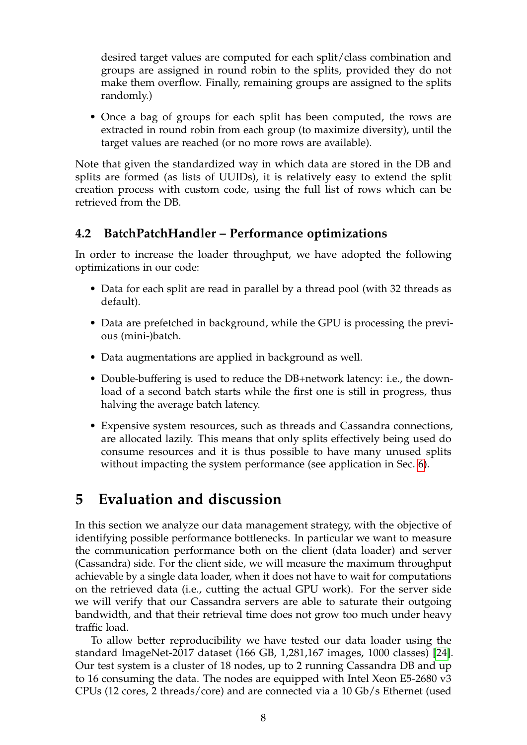desired target values are computed for each split/class combination and groups are assigned in round robin to the splits, provided they do not make them overflow. Finally, remaining groups are assigned to the splits randomly.)

• Once a bag of groups for each split has been computed, the rows are extracted in round robin from each group (to maximize diversity), until the target values are reached (or no more rows are available).

Note that given the standardized way in which data are stored in the DB and splits are formed (as lists of UUIDs), it is relatively easy to extend the split creation process with custom code, using the full list of rows which can be retrieved from the DB.

#### <span id="page-7-1"></span>**4.2 BatchPatchHandler – Performance optimizations**

In order to increase the loader throughput, we have adopted the following optimizations in our code:

- Data for each split are read in parallel by a thread pool (with 32 threads as default).
- Data are prefetched in background, while the GPU is processing the previous (mini-)batch.
- Data augmentations are applied in background as well.
- Double-buffering is used to reduce the DB+network latency: i.e., the download of a second batch starts while the first one is still in progress, thus halving the average batch latency.
- Expensive system resources, such as threads and Cassandra connections, are allocated lazily. This means that only splits effectively being used do consume resources and it is thus possible to have many unused splits without impacting the system performance (see application in Sec. [6\)](#page-12-0).

### <span id="page-7-0"></span>**5 Evaluation and discussion**

In this section we analyze our data management strategy, with the objective of identifying possible performance bottlenecks. In particular we want to measure the communication performance both on the client (data loader) and server (Cassandra) side. For the client side, we will measure the maximum throughput achievable by a single data loader, when it does not have to wait for computations on the retrieved data (i.e., cutting the actual GPU work). For the server side we will verify that our Cassandra servers are able to saturate their outgoing bandwidth, and that their retrieval time does not grow too much under heavy traffic load.

To allow better reproducibility we have tested our data loader using the standard ImageNet-2017 dataset (166 GB, 1,281,167 images, 1000 classes) [\[24\]](#page-18-9). Our test system is a cluster of 18 nodes, up to 2 running Cassandra DB and up to 16 consuming the data. The nodes are equipped with Intel Xeon E5-2680 v3 CPUs (12 cores, 2 threads/core) and are connected via a 10 Gb/s Ethernet (used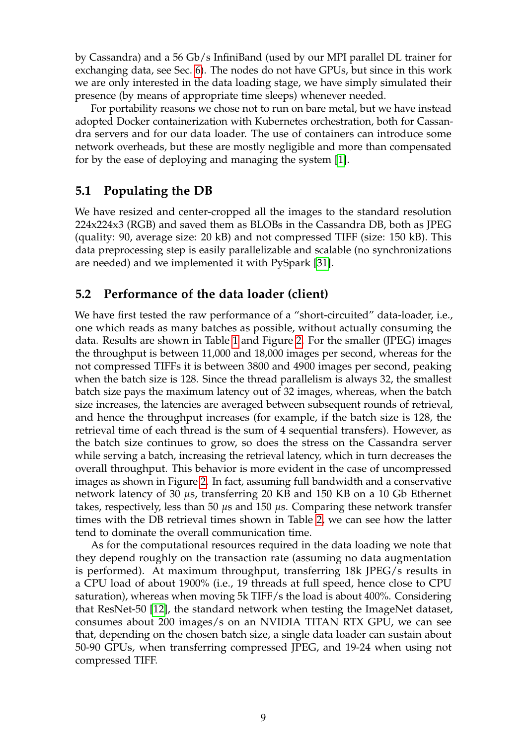by Cassandra) and a 56 Gb/s InfiniBand (used by our MPI parallel DL trainer for exchanging data, see Sec. [6\)](#page-12-0). The nodes do not have GPUs, but since in this work we are only interested in the data loading stage, we have simply simulated their presence (by means of appropriate time sleeps) whenever needed.

For portability reasons we chose not to run on bare metal, but we have instead adopted Docker containerization with Kubernetes orchestration, both for Cassandra servers and for our data loader. The use of containers can introduce some network overheads, but these are mostly negligible and more than compensated for by the ease of deploying and managing the system [\[1\]](#page-16-2).

#### **5.1 Populating the DB**

We have resized and center-cropped all the images to the standard resolution 224x224x3 (RGB) and saved them as BLOBs in the Cassandra DB, both as JPEG (quality: 90, average size: 20 kB) and not compressed TIFF (size: 150 kB). This data preprocessing step is easily parallelizable and scalable (no synchronizations are needed) and we implemented it with PySpark [\[31\]](#page-18-10).

#### <span id="page-8-0"></span>**5.2 Performance of the data loader (client)**

We have first tested the raw performance of a "short-circuited" data-loader, i.e., one which reads as many batches as possible, without actually consuming the data. Results are shown in Table [1](#page-9-0) and Figure [2.](#page-9-1) For the smaller (JPEG) images the throughput is between 11,000 and 18,000 images per second, whereas for the not compressed TIFFs it is between 3800 and 4900 images per second, peaking when the batch size is 128. Since the thread parallelism is always 32, the smallest batch size pays the maximum latency out of 32 images, whereas, when the batch size increases, the latencies are averaged between subsequent rounds of retrieval, and hence the throughput increases (for example, if the batch size is 128, the retrieval time of each thread is the sum of 4 sequential transfers). However, as the batch size continues to grow, so does the stress on the Cassandra server while serving a batch, increasing the retrieval latency, which in turn decreases the overall throughput. This behavior is more evident in the case of uncompressed images as shown in Figure [2.](#page-9-1) In fact, assuming full bandwidth and a conservative network latency of 30 *µ*s, transferring 20 KB and 150 KB on a 10 Gb Ethernet takes, respectively, less than 50 *µ*s and 150 *µ*s. Comparing these network transfer times with the DB retrieval times shown in Table [2,](#page-12-1) we can see how the latter tend to dominate the overall communication time.

As for the computational resources required in the data loading we note that they depend roughly on the transaction rate (assuming no data augmentation is performed). At maximum throughput, transferring 18k JPEG/s results in a CPU load of about 1900% (i.e., 19 threads at full speed, hence close to CPU saturation), whereas when moving 5k TIFF/s the load is about 400%. Considering that ResNet-50 [\[12\]](#page-17-14), the standard network when testing the ImageNet dataset, consumes about 200 images/s on an NVIDIA TITAN RTX GPU, we can see that, depending on the chosen batch size, a single data loader can sustain about 50-90 GPUs, when transferring compressed JPEG, and 19-24 when using not compressed TIFF.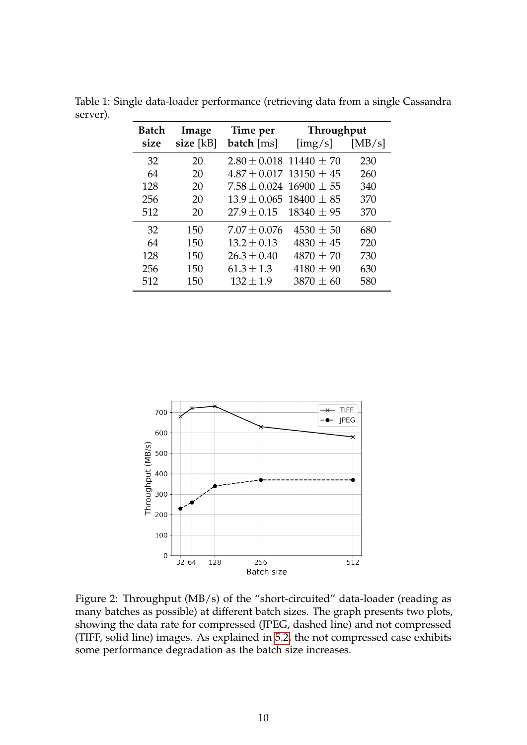<span id="page-9-0"></span>

| <b>Batch</b> | Image     | Time per                        | <b>Throughput</b>           |        |
|--------------|-----------|---------------------------------|-----------------------------|--------|
| size         | size [kB] | batch [ms]                      | $\left[\text{img/s}\right]$ | [MB/s] |
| 32           | 20        | $2.80 \pm 0.018$ 11440 $\pm$ 70 |                             | 230    |
| 64           | 20        | $4.87 \pm 0.017$ 13150 $\pm 45$ |                             | 260    |
| 128          | 20        | $7.58 \pm 0.024$ 16900 $\pm$ 55 |                             | 340    |
| 256          | 20        | $13.9 \pm 0.065$ 18400 $\pm 85$ |                             | 370    |
| 512          | 20        | $27.9 \pm 0.15$                 | $18340 \pm 95$              | 370    |
| 32           | 150       | $7.07 \pm 0.076$                | $4530 \pm 50$               | 680    |
| 64           | 150       | $13.2 \pm 0.13$                 | $4830 \pm 45$               | 720    |
| 128          | 150       | $26.3 \pm 0.40$                 | $4870 \pm 70$               | 730    |
| 256          | 150       | $61.3 \pm 1.3$                  | $4180 \pm 90$               | 630    |
| 512          | 150       | $132 \pm 1.9$                   | $3870 \pm 60$               | 580    |

Table 1: Single data-loader performance (retrieving data from a single Cassandra server).



<span id="page-9-1"></span>Figure 2: Throughput (MB/s) of the "short-circuited" data-loader (reading as many batches as possible) at different batch sizes. The graph presents two plots, showing the data rate for compressed (JPEG, dashed line) and not compressed (TIFF, solid line) images. As explained in [5.2,](#page-8-0) the not compressed case exhibits some performance degradation as the batch size increases.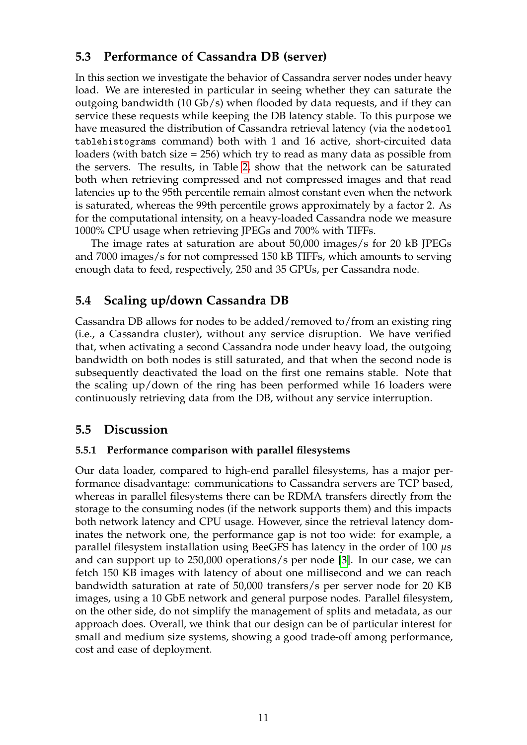#### **5.3 Performance of Cassandra DB (server)**

In this section we investigate the behavior of Cassandra server nodes under heavy load. We are interested in particular in seeing whether they can saturate the outgoing bandwidth  $(10 \text{Gb/s})$  when flooded by data requests, and if they can service these requests while keeping the DB latency stable. To this purpose we have measured the distribution of Cassandra retrieval latency (via the nodetool tablehistograms command) both with 1 and 16 active, short-circuited data loaders (with batch size = 256) which try to read as many data as possible from the servers. The results, in Table [2,](#page-12-1) show that the network can be saturated both when retrieving compressed and not compressed images and that read latencies up to the 95th percentile remain almost constant even when the network is saturated, whereas the 99th percentile grows approximately by a factor 2. As for the computational intensity, on a heavy-loaded Cassandra node we measure 1000% CPU usage when retrieving JPEGs and 700% with TIFFs.

The image rates at saturation are about 50,000 images/s for 20 kB JPEGs and 7000 images/s for not compressed 150 kB TIFFs, which amounts to serving enough data to feed, respectively, 250 and 35 GPUs, per Cassandra node.

#### **5.4 Scaling up/down Cassandra DB**

Cassandra DB allows for nodes to be added/removed to/from an existing ring (i.e., a Cassandra cluster), without any service disruption. We have verified that, when activating a second Cassandra node under heavy load, the outgoing bandwidth on both nodes is still saturated, and that when the second node is subsequently deactivated the load on the first one remains stable. Note that the scaling up/down of the ring has been performed while 16 loaders were continuously retrieving data from the DB, without any service interruption.

#### **5.5 Discussion**

#### **5.5.1 Performance comparison with parallel filesystems**

Our data loader, compared to high-end parallel filesystems, has a major performance disadvantage: communications to Cassandra servers are TCP based, whereas in parallel filesystems there can be RDMA transfers directly from the storage to the consuming nodes (if the network supports them) and this impacts both network latency and CPU usage. However, since the retrieval latency dominates the network one, the performance gap is not too wide: for example, a parallel filesystem installation using BeeGFS has latency in the order of 100 *µ*s and can support up to 250,000 operations/s per node [\[3\]](#page-16-3). In our case, we can fetch 150 KB images with latency of about one millisecond and we can reach bandwidth saturation at rate of 50,000 transfers/s per server node for 20 KB images, using a 10 GbE network and general purpose nodes. Parallel filesystem, on the other side, do not simplify the management of splits and metadata, as our approach does. Overall, we think that our design can be of particular interest for small and medium size systems, showing a good trade-off among performance, cost and ease of deployment.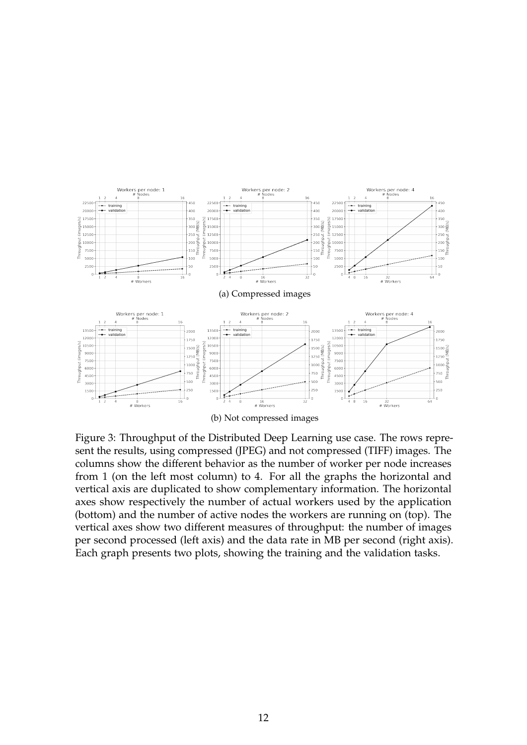<span id="page-11-0"></span>

<span id="page-11-1"></span>Figure 3: Throughput of the Distributed Deep Learning use case. The rows represent the results, using compressed (JPEG) and not compressed (TIFF) images. The columns show the different behavior as the number of worker per node increases from 1 (on the left most column) to 4. For all the graphs the horizontal and vertical axis are duplicated to show complementary information. The horizontal axes show respectively the number of actual workers used by the application (bottom) and the number of active nodes the workers are running on (top). The vertical axes show two different measures of throughput: the number of images per second processed (left axis) and the data rate in MB per second (right axis). Each graph presents two plots, showing the training and the validation tasks.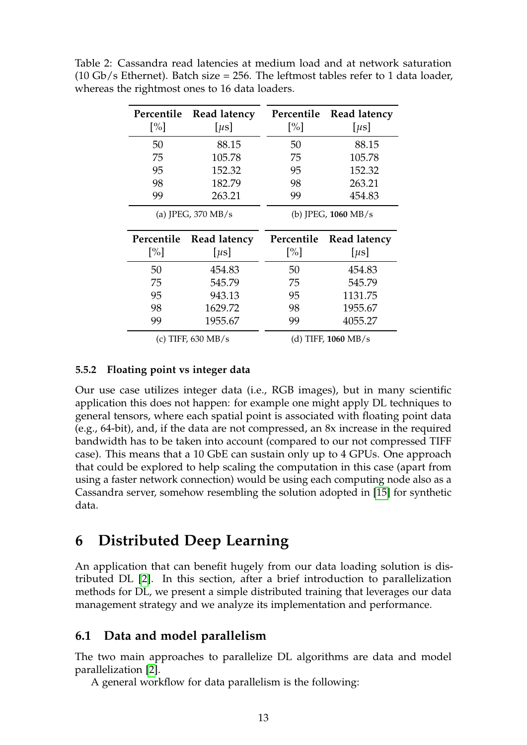| Percentile<br>$\lceil\% \rceil$ | Read latency<br>$[\mu s]$ | Percentile<br>[%] | Read latency<br>$[\mu s]$ |
|---------------------------------|---------------------------|-------------------|---------------------------|
| 50                              | 88.15                     | 50                | 88.15                     |
| 75                              | 105.78                    | 75                | 105.78                    |
| 95                              | 152.32                    | 95                | 152.32                    |
| 98                              | 182.79                    | 98                | 263.21                    |
| 99                              | 263.21                    | 99                | 454.83                    |
|                                 | (a) JPEG, $370$ MB/s      |                   | (b) JPEG, $1060$ MB/s     |
|                                 |                           |                   |                           |
| Percentile                      | Read latency              | Percentile        | Read latency              |
| $\lceil\% \rceil$               | $[\mu s]$                 | $\lceil\% \rceil$ | $[\mu s]$                 |
| 50                              | 454.83                    | 50                | 454.83                    |
| 75                              | 545.79                    | 75                | 545.79                    |
| 95                              | 943.13                    | 95                | 1131.75                   |
| 98                              | 1629.72                   | 98                | 1955.67                   |
| 99                              | 1955.67                   | 99                | 4055.27                   |

Table 2: Cassandra read latencies at medium load and at network saturation  $(10 \text{Gb/s}$  Ethernet). Batch size = 256. The leftmost tables refer to 1 data loader, whereas the rightmost ones to 16 data loaders.

#### <span id="page-12-1"></span>**5.5.2 Floating point vs integer data**

Our use case utilizes integer data (i.e., RGB images), but in many scientific application this does not happen: for example one might apply DL techniques to general tensors, where each spatial point is associated with floating point data (e.g., 64-bit), and, if the data are not compressed, an 8x increase in the required bandwidth has to be taken into account (compared to our not compressed TIFF case). This means that a 10 GbE can sustain only up to 4 GPUs. One approach that could be explored to help scaling the computation in this case (apart from using a faster network connection) would be using each computing node also as a Cassandra server, somehow resembling the solution adopted in [\[15\]](#page-17-8) for synthetic data.

### <span id="page-12-0"></span>**6 Distributed Deep Learning**

An application that can benefit hugely from our data loading solution is distributed DL [\[2\]](#page-16-4). In this section, after a brief introduction to parallelization methods for DL, we present a simple distributed training that leverages our data management strategy and we analyze its implementation and performance.

#### **6.1 Data and model parallelism**

The two main approaches to parallelize DL algorithms are data and model parallelization [\[2\]](#page-16-4).

A general workflow for data parallelism is the following: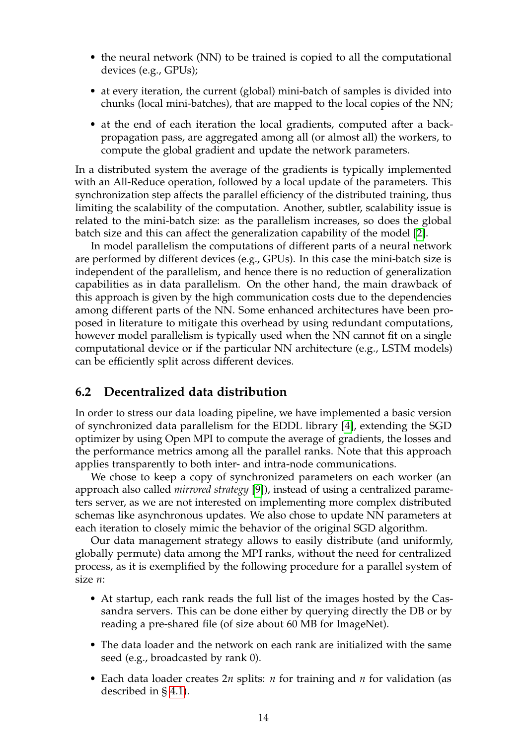- the neural network (NN) to be trained is copied to all the computational devices (e.g., GPUs);
- at every iteration, the current (global) mini-batch of samples is divided into chunks (local mini-batches), that are mapped to the local copies of the NN;
- at the end of each iteration the local gradients, computed after a backpropagation pass, are aggregated among all (or almost all) the workers, to compute the global gradient and update the network parameters.

In a distributed system the average of the gradients is typically implemented with an All-Reduce operation, followed by a local update of the parameters. This synchronization step affects the parallel efficiency of the distributed training, thus limiting the scalability of the computation. Another, subtler, scalability issue is related to the mini-batch size: as the parallelism increases, so does the global batch size and this can affect the generalization capability of the model [\[2\]](#page-16-4).

In model parallelism the computations of different parts of a neural network are performed by different devices (e.g., GPUs). In this case the mini-batch size is independent of the parallelism, and hence there is no reduction of generalization capabilities as in data parallelism. On the other hand, the main drawback of this approach is given by the high communication costs due to the dependencies among different parts of the NN. Some enhanced architectures have been proposed in literature to mitigate this overhead by using redundant computations, however model parallelism is typically used when the NN cannot fit on a single computational device or if the particular NN architecture (e.g., LSTM models) can be efficiently split across different devices.

#### **6.2 Decentralized data distribution**

In order to stress our data loading pipeline, we have implemented a basic version of synchronized data parallelism for the EDDL library [\[4\]](#page-16-1), extending the SGD optimizer by using Open MPI to compute the average of gradients, the losses and the performance metrics among all the parallel ranks. Note that this approach applies transparently to both inter- and intra-node communications.

We chose to keep a copy of synchronized parameters on each worker (an approach also called *mirrored strategy* [\[9\]](#page-17-15)), instead of using a centralized parameters server, as we are not interested on implementing more complex distributed schemas like asynchronous updates. We also chose to update NN parameters at each iteration to closely mimic the behavior of the original SGD algorithm.

Our data management strategy allows to easily distribute (and uniformly, globally permute) data among the MPI ranks, without the need for centralized process, as it is exemplified by the following procedure for a parallel system of size *n*:

- At startup, each rank reads the full list of the images hosted by the Cassandra servers. This can be done either by querying directly the DB or by reading a pre-shared file (of size about 60 MB for ImageNet).
- The data loader and the network on each rank are initialized with the same seed (e.g., broadcasted by rank 0).
- Each data loader creates 2*n* splits: *n* for training and *n* for validation (as described in § [4.1\)](#page-6-1).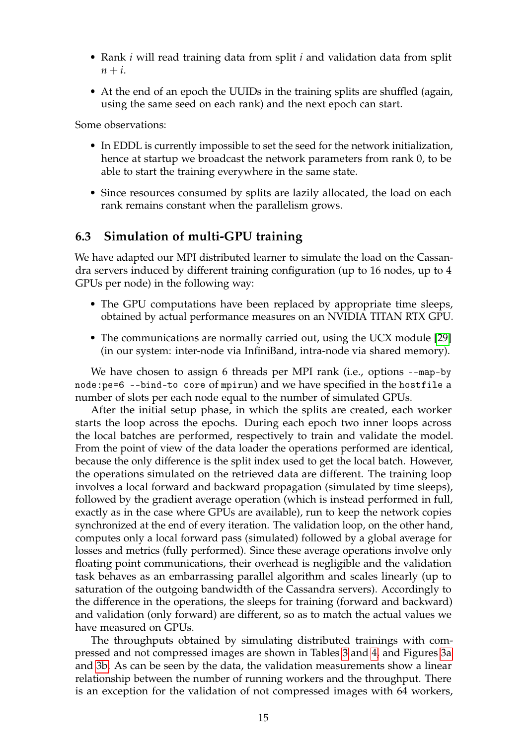- Rank *i* will read training data from split *i* and validation data from split  $n + i$ .
- At the end of an epoch the UUIDs in the training splits are shuffled (again, using the same seed on each rank) and the next epoch can start.

Some observations:

- In EDDL is currently impossible to set the seed for the network initialization, hence at startup we broadcast the network parameters from rank 0, to be able to start the training everywhere in the same state.
- Since resources consumed by splits are lazily allocated, the load on each rank remains constant when the parallelism grows.

#### **6.3 Simulation of multi-GPU training**

We have adapted our MPI distributed learner to simulate the load on the Cassandra servers induced by different training configuration (up to 16 nodes, up to 4 GPUs per node) in the following way:

- The GPU computations have been replaced by appropriate time sleeps, obtained by actual performance measures on an NVIDIA TITAN RTX GPU.
- The communications are normally carried out, using the UCX module [\[29\]](#page-18-11) (in our system: inter-node via InfiniBand, intra-node via shared memory).

We have chosen to assign 6 threads per MPI rank (i.e., options --map-by node:pe=6 --bind-to core of mpirun) and we have specified in the hostfile a number of slots per each node equal to the number of simulated GPUs.

After the initial setup phase, in which the splits are created, each worker starts the loop across the epochs. During each epoch two inner loops across the local batches are performed, respectively to train and validate the model. From the point of view of the data loader the operations performed are identical, because the only difference is the split index used to get the local batch. However, the operations simulated on the retrieved data are different. The training loop involves a local forward and backward propagation (simulated by time sleeps), followed by the gradient average operation (which is instead performed in full, exactly as in the case where GPUs are available), run to keep the network copies synchronized at the end of every iteration. The validation loop, on the other hand, computes only a local forward pass (simulated) followed by a global average for losses and metrics (fully performed). Since these average operations involve only floating point communications, their overhead is negligible and the validation task behaves as an embarrassing parallel algorithm and scales linearly (up to saturation of the outgoing bandwidth of the Cassandra servers). Accordingly to the difference in the operations, the sleeps for training (forward and backward) and validation (only forward) are different, so as to match the actual values we have measured on GPUs.

The throughputs obtained by simulating distributed trainings with compressed and not compressed images are shown in Tables [3](#page-15-2) and [4,](#page-16-5) and Figures [3a](#page-11-0) and [3b.](#page-11-1) As can be seen by the data, the validation measurements show a linear relationship between the number of running workers and the throughput. There is an exception for the validation of not compressed images with 64 workers,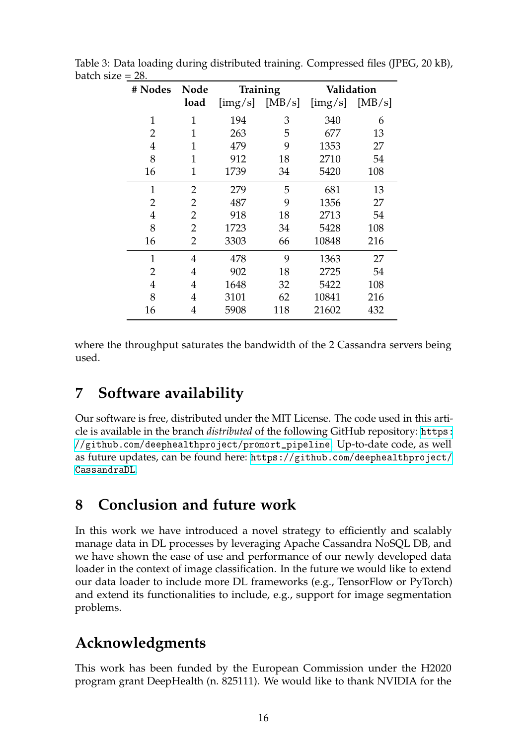<span id="page-15-2"></span>

| # Nodes        | <b>Node</b>    | <b>Training</b> |                                                        | Validation                                             |     |
|----------------|----------------|-----------------|--------------------------------------------------------|--------------------------------------------------------|-----|
|                | load           |                 | $\left[\text{img/s}\right]$ $\left[\text{MB/s}\right]$ | $\left[\text{img/s}\right]$ $\left[\text{MB/s}\right]$ |     |
| 1              | $\mathbf{1}$   | 194             | 3                                                      | 340                                                    | 6   |
| $\overline{2}$ | 1              | 263             | 5                                                      | 677                                                    | 13  |
| 4              | 1              | 479             | 9                                                      | 1353                                                   | 27  |
| 8              | 1              | 912             | 18                                                     | 2710                                                   | 54  |
| 16             | 1              | 1739            | 34                                                     | 5420                                                   | 108 |
| 1              | 2              | 279             | 5                                                      | 681                                                    | 13  |
| 2              | 2              | 487             | 9                                                      | 1356                                                   | 27  |
| 4              | 2              | 918             | 18                                                     | 2713                                                   | 54  |
| 8              | 2              | 1723            | 34                                                     | 5428                                                   | 108 |
| 16             | 2              | 3303            | 66                                                     | 10848                                                  | 216 |
| 1              | $\overline{4}$ | 478             | 9                                                      | 1363                                                   | 27  |
| 2              | 4              | 902             | 18                                                     | 2725                                                   | 54  |
| 4              | 4              | 1648            | 32                                                     | 5422                                                   | 108 |
| 8              | 4              | 3101            | 62                                                     | 10841                                                  | 216 |
| 16             | 4              | 5908            | 118                                                    | 21602                                                  | 432 |

Table 3: Data loading during distributed training. Compressed files (JPEG, 20 kB), batch size  $= 28$ .

where the throughput saturates the bandwidth of the 2 Cassandra servers being used.

## <span id="page-15-0"></span>**7 Software availability**

Our software is free, distributed under the MIT License. The code used in this article is available in the branch *distributed* of the following GitHub repository: [https:](https://github.com/deephealthproject/promort_pipeline) [//github.com/deephealthproject/promort\\_pipeline](https://github.com/deephealthproject/promort_pipeline). Up-to-date code, as well as future updates, can be found here: [https://github.com/deephealthproject/](https://github.com/deephealthproject/CassandraDL) [CassandraDL](https://github.com/deephealthproject/CassandraDL).

### <span id="page-15-1"></span>**8 Conclusion and future work**

In this work we have introduced a novel strategy to efficiently and scalably manage data in DL processes by leveraging Apache Cassandra NoSQL DB, and we have shown the ease of use and performance of our newly developed data loader in the context of image classification. In the future we would like to extend our data loader to include more DL frameworks (e.g., TensorFlow or PyTorch) and extend its functionalities to include, e.g., support for image segmentation problems.

## **Acknowledgments**

This work has been funded by the European Commission under the H2020 program grant DeepHealth (n. 825111). We would like to thank NVIDIA for the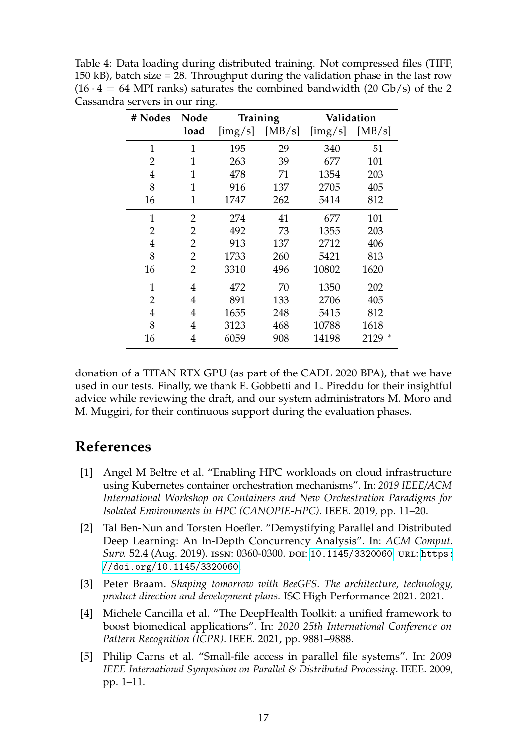<span id="page-16-5"></span>Table 4: Data loading during distributed training. Not compressed files (TIFF, 150 kB), batch size = 28. Throughput during the validation phase in the last row  $(16 \cdot 4 = 64$  MPI ranks) saturates the combined bandwidth (20 Gb/s) of the 2 Cassandra servers in our ring.

| # Nodes        | <b>Node</b>    | Training                    |        | Validation                                             |      |
|----------------|----------------|-----------------------------|--------|--------------------------------------------------------|------|
|                | load           | $\left[\text{img/s}\right]$ | [MB/s] | $\left[\text{img/s}\right]$ $\left[\text{MB/s}\right]$ |      |
| $\mathbf{1}$   | $\mathbf{1}$   | 195                         | 29     | 340                                                    | 51   |
| 2              | 1              | 263                         | 39     | 677                                                    | 101  |
| $\overline{4}$ | 1              | 478                         | 71     | 1354                                                   | 203  |
| 8              | 1              | 916                         | 137    | 2705                                                   | 405  |
| 16             | 1              | 1747                        | 262    | 5414                                                   | 812  |
| $\mathbf{1}$   | $\overline{2}$ | 274                         | 41     | 677                                                    | 101  |
| 2              | 2              | 492                         | 73     | 1355                                                   | 203  |
| $\overline{4}$ | 2              | 913                         | 137    | 2712                                                   | 406  |
| 8              | 2              | 1733                        | 260    | 5421                                                   | 813  |
| 16             | 2              | 3310                        | 496    | 10802                                                  | 1620 |
| $\mathbf{1}$   | $\overline{4}$ | 472                         | 70     | 1350                                                   | 202  |
| 2              | $\overline{4}$ | 891                         | 133    | 2706                                                   | 405  |
| $\overline{4}$ | 4              | 1655                        | 248    | 5415                                                   | 812  |
| 8              | 4              | 3123                        | 468    | 10788                                                  | 1618 |
| 16             | 4              | 6059                        | 908    | 14198                                                  | 2129 |

donation of a TITAN RTX GPU (as part of the CADL 2020 BPA), that we have used in our tests. Finally, we thank E. Gobbetti and L. Pireddu for their insightful advice while reviewing the draft, and our system administrators M. Moro and M. Muggiri, for their continuous support during the evaluation phases.

## **References**

- <span id="page-16-2"></span>[1] Angel M Beltre et al. "Enabling HPC workloads on cloud infrastructure using Kubernetes container orchestration mechanisms". In: *2019 IEEE/ACM International Workshop on Containers and New Orchestration Paradigms for Isolated Environments in HPC (CANOPIE-HPC)*. IEEE. 2019, pp. 11–20.
- <span id="page-16-4"></span>[2] Tal Ben-Nun and Torsten Hoefler. "Demystifying Parallel and Distributed Deep Learning: An In-Depth Concurrency Analysis". In: *ACM Comput. Surv.* 52.4 (Aug. 2019). ISSN: 0360-0300. DOI: [10.1145/3320060](https://doi.org/10.1145/3320060). URL: [https:](https://doi.org/10.1145/3320060) [//doi.org/10.1145/3320060](https://doi.org/10.1145/3320060).
- <span id="page-16-3"></span>[3] Peter Braam. *Shaping tomorrow with BeeGFS. The architecture, technology, product direction and development plans.* ISC High Performance 2021. 2021.
- <span id="page-16-1"></span>[4] Michele Cancilla et al. "The DeepHealth Toolkit: a unified framework to boost biomedical applications". In: *2020 25th International Conference on Pattern Recognition (ICPR)*. IEEE. 2021, pp. 9881–9888.
- <span id="page-16-0"></span>[5] Philip Carns et al. "Small-file access in parallel file systems". In: *2009 IEEE International Symposium on Parallel & Distributed Processing*. IEEE. 2009, pp. 1–11.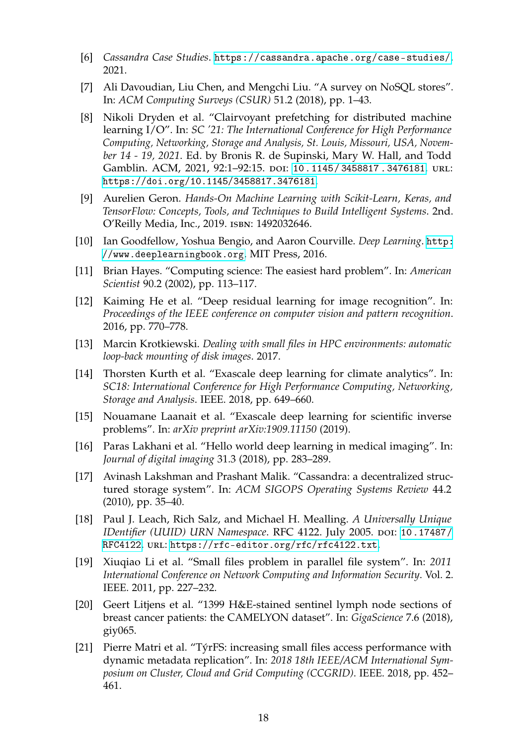- <span id="page-17-10"></span>[6] *Cassandra Case Studies*. <https://cassandra.apache.org/case-studies/>. 2021.
- <span id="page-17-9"></span>[7] Ali Davoudian, Liu Chen, and Mengchi Liu. "A survey on NoSQL stores". In: *ACM Computing Surveys (CSUR)* 51.2 (2018), pp. 1–43.
- <span id="page-17-0"></span>[8] Nikoli Dryden et al. "Clairvoyant prefetching for distributed machine learning I/O". In: *SC '21: The International Conference for High Performance Computing, Networking, Storage and Analysis, St. Louis, Missouri, USA, November 14 - 19, 2021*. Ed. by Bronis R. de Supinski, Mary W. Hall, and Todd Gamblin. ACM, 2021, 92:1-92:15. poi: 10.1145/3458817.3476181. url: <https://doi.org/10.1145/3458817.3476181>.
- <span id="page-17-15"></span>[9] Aurelien Geron. *Hands-On Machine Learning with Scikit-Learn, Keras, and TensorFlow: Concepts, Tools, and Techniques to Build Intelligent Systems*. 2nd. O'Reilly Media, Inc., 2019. isbn: 1492032646.
- <span id="page-17-11"></span>[10] Ian Goodfellow, Yoshua Bengio, and Aaron Courville. *Deep Learning*. [http:](http://www.deeplearningbook.org) [//www.deeplearningbook.org](http://www.deeplearningbook.org). MIT Press, 2016.
- <span id="page-17-13"></span>[11] Brian Hayes. "Computing science: The easiest hard problem". In: *American Scientist* 90.2 (2002), pp. 113–117.
- <span id="page-17-14"></span>[12] Kaiming He et al. "Deep residual learning for image recognition". In: *Proceedings of the IEEE conference on computer vision and pattern recognition*. 2016, pp. 770–778.
- <span id="page-17-3"></span>[13] Marcin Krotkiewski. *Dealing with small files in HPC environments: automatic loop-back mounting of disk images*. 2017.
- <span id="page-17-7"></span>[14] Thorsten Kurth et al. "Exascale deep learning for climate analytics". In: *SC18: International Conference for High Performance Computing, Networking, Storage and Analysis*. IEEE. 2018, pp. 649–660.
- <span id="page-17-8"></span>[15] Nouamane Laanait et al. "Exascale deep learning for scientific inverse problems". In: *arXiv preprint arXiv:1909.11150* (2019).
- <span id="page-17-2"></span>[16] Paras Lakhani et al. "Hello world deep learning in medical imaging". In: *Journal of digital imaging* 31.3 (2018), pp. 283–289.
- <span id="page-17-6"></span>[17] Avinash Lakshman and Prashant Malik. "Cassandra: a decentralized structured storage system". In: *ACM SIGOPS Operating Systems Review* 44.2 (2010), pp. 35–40.
- <span id="page-17-12"></span>[18] Paul J. Leach, Rich Salz, and Michael H. Mealling. *A Universally Unique IDentifier (UUID) URN Namespace. RFC 4122. July 2005. DOI: [10.17487/](https://doi.org/10.17487/RFC4122)* [RFC4122](https://doi.org/10.17487/RFC4122). URL: <https://rfc-editor.org/rfc/rfc4122.txt>.
- <span id="page-17-4"></span>[19] Xiuqiao Li et al. "Small files problem in parallel file system". In: *2011 International Conference on Network Computing and Information Security*. Vol. 2. IEEE. 2011, pp. 227–232.
- <span id="page-17-1"></span>[20] Geert Litjens et al. "1399 H&E-stained sentinel lymph node sections of breast cancer patients: the CAMELYON dataset". In: *GigaScience* 7.6 (2018), giy065.
- <span id="page-17-5"></span>[21] Pierre Matri et al. "TýrFS: increasing small files access performance with dynamic metadata replication". In: *2018 18th IEEE/ACM International Symposium on Cluster, Cloud and Grid Computing (CCGRID)*. IEEE. 2018, pp. 452– 461.